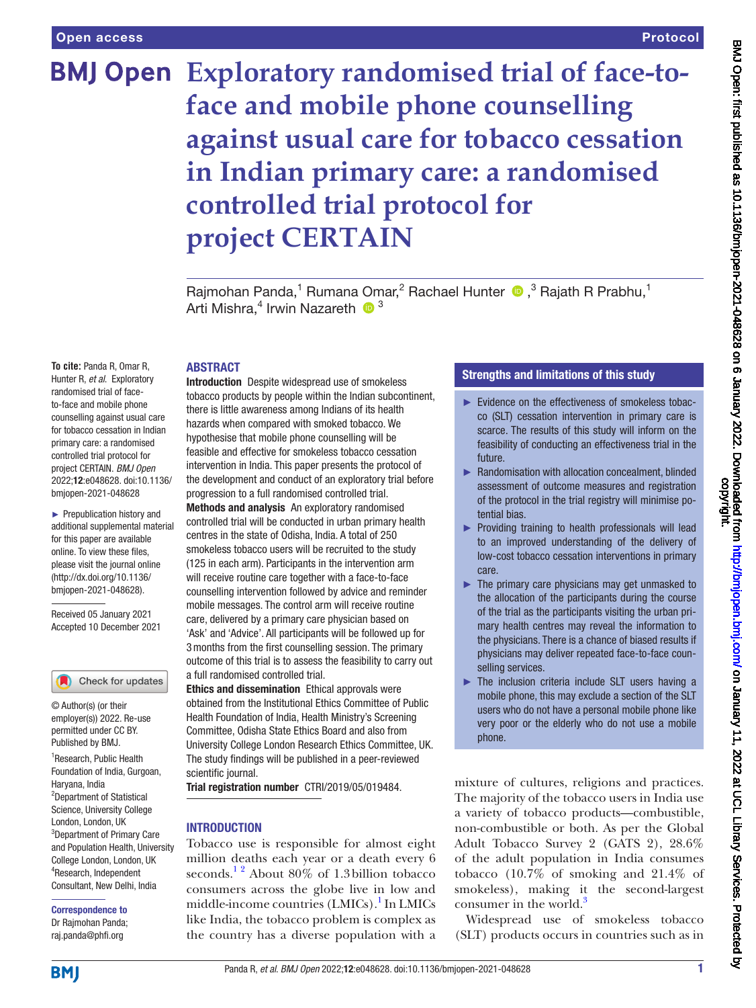## **Exploratory randomised trial of face-toface and mobile phone counselling against usual care for tobacco cessation in Indian primary care: a randomised controlled trial protocol for project CERTAIN**

Rajmohan Panda,<sup>1</sup> Rumana Omar,<sup>2</sup> Rachael Hunter <sup>1</sup>,<sup>3</sup> Rajath R Prabhu,<sup>1</sup> Arti Mishra,<sup>4</sup> Irwin Nazareth <sup>193</sup>

#### ABSTRACT

**To cite:** Panda R, Omar R, Hunter R, *et al*. Exploratory randomised trial of faceto-face and mobile phone counselling against usual care for tobacco cessation in Indian primary care: a randomised controlled trial protocol for project CERTAIN. *BMJ Open* 2022;12:e048628. doi:10.1136/ bmjopen-2021-048628

► Prepublication history and additional supplemental material for this paper are available online. To view these files, please visit the journal online [\(http://dx.doi.org/10.1136/](http://dx.doi.org/10.1136/bmjopen-2021-048628) [bmjopen-2021-048628](http://dx.doi.org/10.1136/bmjopen-2021-048628)).

Received 05 January 2021 Accepted 10 December 2021

Check for updates

© Author(s) (or their employer(s)) 2022. Re-use permitted under CC BY. Published by BMJ.

<sup>1</sup>Research, Public Health Foundation of India, Gurgoan, Haryana, India 2 Department of Statistical Science, University College London, London, UK 3 Department of Primary Care and Population Health, University College London, London, UK 4 Research, Independent Consultant, New Delhi, India

Correspondence to Dr Rajmohan Panda; raj.panda@phfi.org

Introduction Despite widespread use of smokeless tobacco products by people within the Indian subcontinent, there is little awareness among Indians of its health hazards when compared with smoked tobacco. We hypothesise that mobile phone counselling will be feasible and effective for smokeless tobacco cessation intervention in India. This paper presents the protocol of the development and conduct of an exploratory trial before progression to a full randomised controlled trial.

Methods and analysis An exploratory randomised controlled trial will be conducted in urban primary health centres in the state of Odisha, India. A total of 250 smokeless tobacco users will be recruited to the study (125 in each arm). Participants in the intervention arm will receive routine care together with a face-to-face counselling intervention followed by advice and reminder mobile messages. The control arm will receive routine care, delivered by a primary care physician based on 'Ask' and 'Advice'. All participants will be followed up for 3months from the first counselling session. The primary outcome of this trial is to assess the feasibility to carry out a full randomised controlled trial.

Ethics and dissemination Ethical approvals were obtained from the Institutional Ethics Committee of Public Health Foundation of India, Health Ministry's Screening Committee, Odisha State Ethics Board and also from University College London Research Ethics Committee, UK. The study findings will be published in a peer-reviewed scientific journal.

Trial registration number CTRI/2019/05/019484.

#### **INTRODUCTION**

Tobacco use is responsible for almost eight million deaths each year or a death every 6 seconds.<sup>12</sup> About 80% of 1.3 billion tobacco consumers across the globe live in low and middle-income countries (LMICs).<sup>[1](#page-6-0)</sup> In LMICs like India, the tobacco problem is complex as the country has a diverse population with a

#### Strengths and limitations of this study

- ► Evidence on the effectiveness of smokeless tobacco (SLT) cessation intervention in primary care is scarce. The results of this study will inform on the feasibility of conducting an effectiveness trial in the future.
- ► Randomisation with allocation concealment, blinded assessment of outcome measures and registration of the protocol in the trial registry will minimise potential bias.
- ► Providing training to health professionals will lead to an improved understanding of the delivery of low-cost tobacco cessation interventions in primary care.
- $\blacktriangleright$  The primary care physicians may get unmasked to the allocation of the participants during the course of the trial as the participants visiting the urban primary health centres may reveal the information to the physicians. There is a chance of biased results if physicians may deliver repeated face-to-face counselling services.
- ► The inclusion criteria include SLT users having a mobile phone, this may exclude a section of the SLT users who do not have a personal mobile phone like very poor or the elderly who do not use a mobile phone.

mixture of cultures, religions and practices. The majority of the tobacco users in India use a variety of tobacco products—combustible, non-combustible or both. As per the Global Adult Tobacco Survey 2 (GATS 2), 28.6% of the adult population in India consumes tobacco (10.7% of smoking and 21.4% of smokeless), making it the second-largest consumer in the world. $3$ 

Widespread use of smokeless tobacco (SLT) products occurs in countries such as in

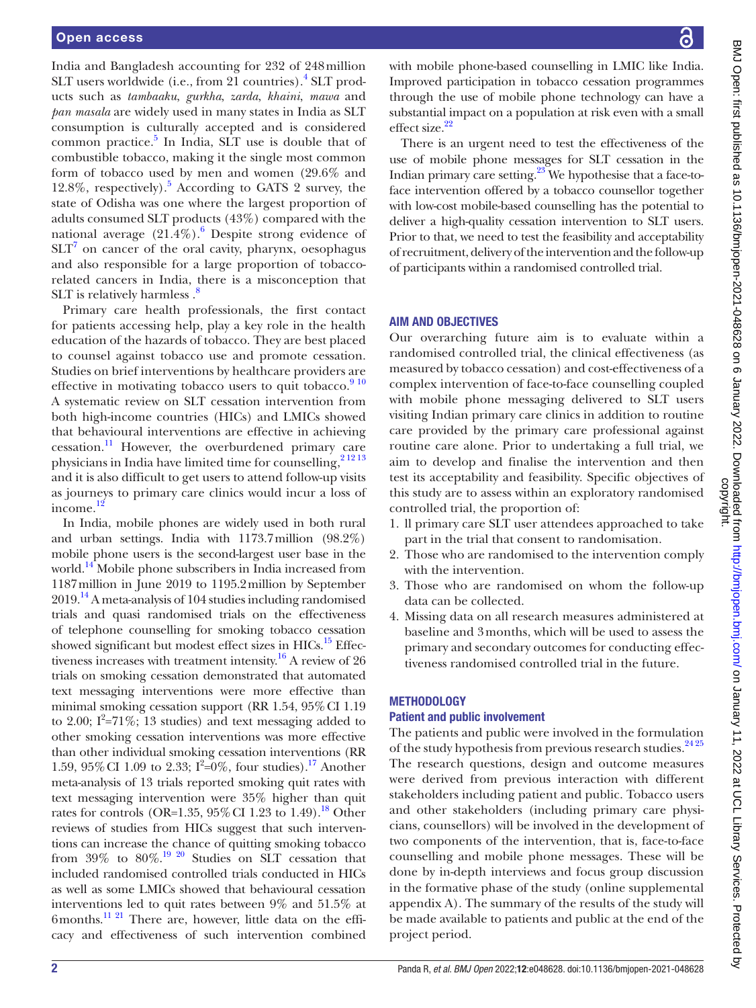India and Bangladesh accounting for 232 of 248million SLT users worldwide (i.e., from 21 countries).<sup>[4](#page-6-2)</sup> SLT products such as *tambaaku*, *gurkha*, *zarda*, *khaini*, *mawa* and *pan masala* are widely used in many states in India as SLT consumption is culturally accepted and is considered common practice. $5$  In India, SLT use is double that of combustible tobacco, making it the single most common form of tobacco used by men and women (29.6% and 12.8%, respectively).[5](#page-6-3) According to GATS 2 survey, the state of Odisha was one where the largest proportion of adults consumed SLT products (43%) compared with the national average  $(21.4\%)$ .<sup>[6](#page-6-4)</sup> Despite strong evidence of  $SLT<sup>7</sup>$  $SLT<sup>7</sup>$  $SLT<sup>7</sup>$  on cancer of the oral cavity, pharynx, oesophagus and also responsible for a large proportion of tobaccorelated cancers in India, there is a misconception that SLT is relatively harmless  $\cdot$ <sup>[8](#page-6-6)</sup>

Primary care health professionals, the first contact for patients accessing help, play a key role in the health education of the hazards of tobacco. They are best placed to counsel against tobacco use and promote cessation. Studies on brief interventions by healthcare providers are effective in motivating tobacco users to quit tobacco. $910$ A systematic review on SLT cessation intervention from both high-income countries (HICs) and LMICs showed that behavioural interventions are effective in achieving cessation.[11](#page-6-8) However, the overburdened primary care physicians in India have limited time for counselling,<sup>21213</sup> and it is also difficult to get users to attend follow-up visits as journeys to primary care clinics would incur a loss of income.[12](#page-6-10)

In India, mobile phones are widely used in both rural and urban settings. India with 1173.7million (98.2%) mobile phone users is the second-largest user base in the world.<sup>14</sup> Mobile phone subscribers in India increased from 1187million in June 2019 to 1195.2million by September  $2019.<sup>14</sup>$  A meta-analysis of 104 studies including randomised trials and quasi randomised trials on the effectiveness of telephone counselling for smoking tobacco cessation showed significant but modest effect sizes in HICs.<sup>15</sup> Effec-tiveness increases with treatment intensity.<sup>[16](#page-6-13)</sup> A review of 26 trials on smoking cessation demonstrated that automated text messaging interventions were more effective than minimal smoking cessation support (RR 1.54, 95%CI 1.19 to 2.00;  $I^2 = 71\%$ ; 13 studies) and text messaging added to other smoking cessation interventions was more effective than other individual smoking cessation interventions (RR 1.59, 95% CI 1.09 to 2.33;  $I^2=0\%$ , four studies).<sup>[17](#page-6-14)</sup> Another meta-analysis of 13 trials reported smoking quit rates with text messaging intervention were 35% higher than quit rates for controls (OR=1.35,  $95\%$  CI 1.23 to 1.49).<sup>18</sup> Other reviews of studies from HICs suggest that such interventions can increase the chance of quitting smoking tobacco from  $39\%$  to  $80\%$ .<sup>19 20</sup> Studies on SLT cessation that included randomised controlled trials conducted in HICs as well as some LMICs showed that behavioural cessation interventions led to quit rates between 9% and 51.5% at 6months[.11 21](#page-6-8) There are, however, little data on the efficacy and effectiveness of such intervention combined

with mobile phone-based counselling in LMIC like India. Improved participation in tobacco cessation programmes through the use of mobile phone technology can have a substantial impact on a population at risk even with a small effect size.<sup>22</sup>

There is an urgent need to test the effectiveness of the use of mobile phone messages for SLT cessation in the Indian primary care setting. $23$  We hypothesise that a face-toface intervention offered by a tobacco counsellor together with low-cost mobile-based counselling has the potential to deliver a high-quality cessation intervention to SLT users. Prior to that, we need to test the feasibility and acceptability of recruitment, delivery of the intervention and the follow-up of participants within a randomised controlled trial.

#### AIM AND OBJECTIVES

Our overarching future aim is to evaluate within a randomised controlled trial, the clinical effectiveness (as measured by tobacco cessation) and cost-effectiveness of a complex intervention of face-to-face counselling coupled with mobile phone messaging delivered to SLT users visiting Indian primary care clinics in addition to routine care provided by the primary care professional against routine care alone. Prior to undertaking a full trial, we aim to develop and finalise the intervention and then test its acceptability and feasibility. Specific objectives of this study are to assess within an exploratory randomised controlled trial, the proportion of:

- 1. ll primary care SLT user attendees approached to take part in the trial that consent to randomisation.
- 2. Those who are randomised to the intervention comply with the intervention.
- 3. Those who are randomised on whom the follow-up data can be collected.
- 4. Missing data on all research measures administered at baseline and 3months, which will be used to assess the primary and secondary outcomes for conducting effectiveness randomised controlled trial in the future.

#### **METHODOLOGY**

#### Patient and public involvement

The patients and public were involved in the formulation of the study hypothesis from previous research studies.<sup>2425</sup> The research questions, design and outcome measures were derived from previous interaction with different stakeholders including patient and public. Tobacco users and other stakeholders (including primary care physicians, counsellors) will be involved in the development of two components of the intervention, that is, face-to-face counselling and mobile phone messages. These will be done by in-depth interviews and focus group discussion in the formative phase of the study ([online supplemental](https://dx.doi.org/10.1136/bmjopen-2021-048628)  [appendix A](https://dx.doi.org/10.1136/bmjopen-2021-048628)). The summary of the results of the study will be made available to patients and public at the end of the project period.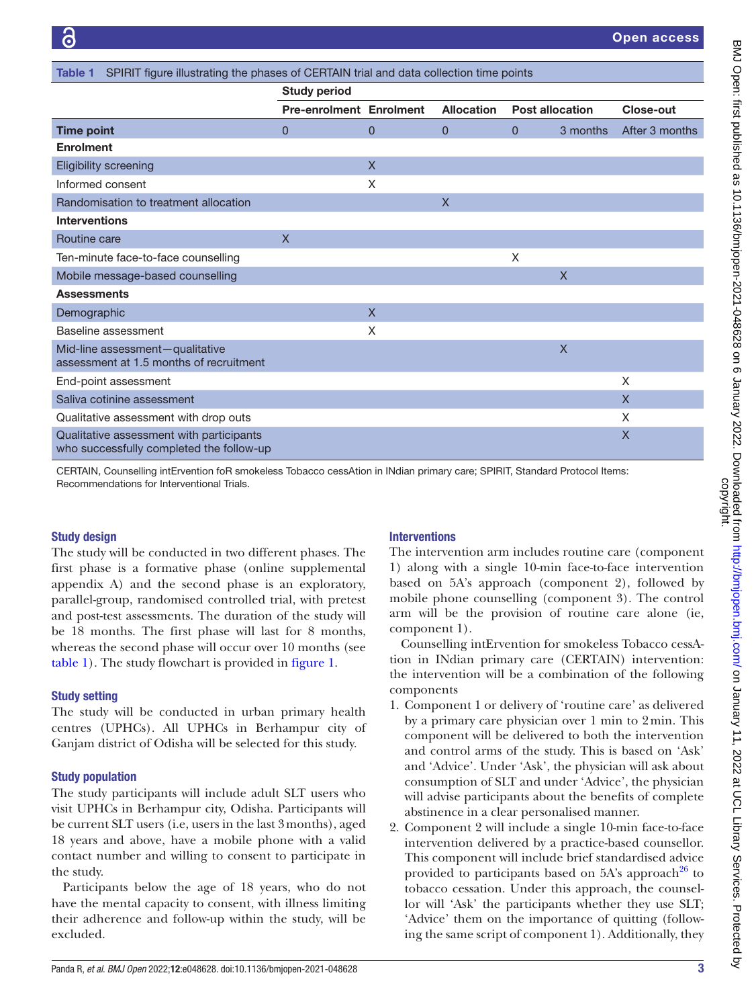<span id="page-2-0"></span>

| SPIRIT figure illustrating the phases of CERTAIN trial and data collection time points<br>Table 1 |                                |              |                   |                        |              |                |
|---------------------------------------------------------------------------------------------------|--------------------------------|--------------|-------------------|------------------------|--------------|----------------|
|                                                                                                   | <b>Study period</b>            |              |                   |                        |              |                |
|                                                                                                   | <b>Pre-enrolment Enrolment</b> |              | <b>Allocation</b> | <b>Post allocation</b> |              | Close-out      |
| <b>Time point</b>                                                                                 | $\Omega$                       | $\Omega$     | $\Omega$          | 0                      | 3 months     | After 3 months |
| <b>Enrolment</b>                                                                                  |                                |              |                   |                        |              |                |
| <b>Eligibility screening</b>                                                                      |                                | $\mathsf{X}$ |                   |                        |              |                |
| Informed consent                                                                                  |                                | $\times$     |                   |                        |              |                |
| Randomisation to treatment allocation                                                             |                                |              | $\mathsf{X}$      |                        |              |                |
| <b>Interventions</b>                                                                              |                                |              |                   |                        |              |                |
| Routine care                                                                                      | $\mathsf{X}$                   |              |                   |                        |              |                |
| Ten-minute face-to-face counselling                                                               |                                |              |                   | X                      |              |                |
| Mobile message-based counselling                                                                  |                                |              |                   |                        | $\mathsf{X}$ |                |
| <b>Assessments</b>                                                                                |                                |              |                   |                        |              |                |
| Demographic                                                                                       |                                | $\mathsf{X}$ |                   |                        |              |                |
| Baseline assessment                                                                               |                                | X            |                   |                        |              |                |
| Mid-line assessment-qualitative<br>assessment at 1.5 months of recruitment                        |                                |              |                   |                        | $\mathsf{X}$ |                |
| End-point assessment                                                                              |                                |              |                   |                        |              | X              |
| Saliva cotinine assessment                                                                        |                                |              |                   |                        |              | $\mathsf{X}$   |
| Qualitative assessment with drop outs                                                             |                                |              |                   |                        |              | X              |
| Qualitative assessment with participants<br>who successfully completed the follow-up              |                                |              |                   |                        |              | $\mathsf{X}$   |

CERTAIN, Counselling intErvention foR smokeless Tobacco cessAtion in INdian primary care; SPIRIT, Standard Protocol Items: Recommendations for Interventional Trials.

#### Study design

The study will be conducted in two different phases. The first phase is a formative phase ([online supplemental](https://dx.doi.org/10.1136/bmjopen-2021-048628) [appendix A](https://dx.doi.org/10.1136/bmjopen-2021-048628)) and the second phase is an exploratory, parallel-group, randomised controlled trial, with pretest and post-test assessments. The duration of the study will be 18 months. The first phase will last for 8 months, whereas the second phase will occur over 10 months (see [table](#page-2-0) 1). The study flowchart is provided in [figure](#page-3-0) 1.

#### Study setting

The study will be conducted in urban primary health centres (UPHCs). All UPHCs in Berhampur city of Ganjam district of Odisha will be selected for this study.

#### Study population

The study participants will include adult SLT users who visit UPHCs in Berhampur city, Odisha. Participants will be current SLT users (i.e, users in the last 3months), aged 18 years and above, have a mobile phone with a valid contact number and willing to consent to participate in the study.

Participants below the age of 18 years, who do not have the mental capacity to consent, with illness limiting their adherence and follow-up within the study, will be excluded.

#### **Interventions**

The intervention arm includes routine care (component 1) along with a single 10-min face-to-face intervention based on 5A's approach (component 2), followed by mobile phone counselling (component 3). The control arm will be the provision of routine care alone (ie, component 1).

Counselling intErvention for smokeless Tobacco cessAtion in INdian primary care (CERTAIN) intervention: the intervention will be a combination of the following components

- 1. Component 1 or delivery of 'routine care' as delivered by a primary care physician over 1 min to 2min. This component will be delivered to both the intervention and control arms of the study. This is based on 'Ask' and 'Advice'. Under 'Ask', the physician will ask about consumption of SLT and under 'Advice', the physician will advise participants about the benefits of complete abstinence in a clear personalised manner.
- 2. Component 2 will include a single 10-min face-to-face intervention delivered by a practice-based counsellor. This component will include brief standardised advice provided to participants based on 5A's approach<sup>26</sup> to tobacco cessation. Under this approach, the counsellor will 'Ask' the participants whether they use SLT; 'Advice' them on the importance of quitting (following the same script of component 1). Additionally, they

्ट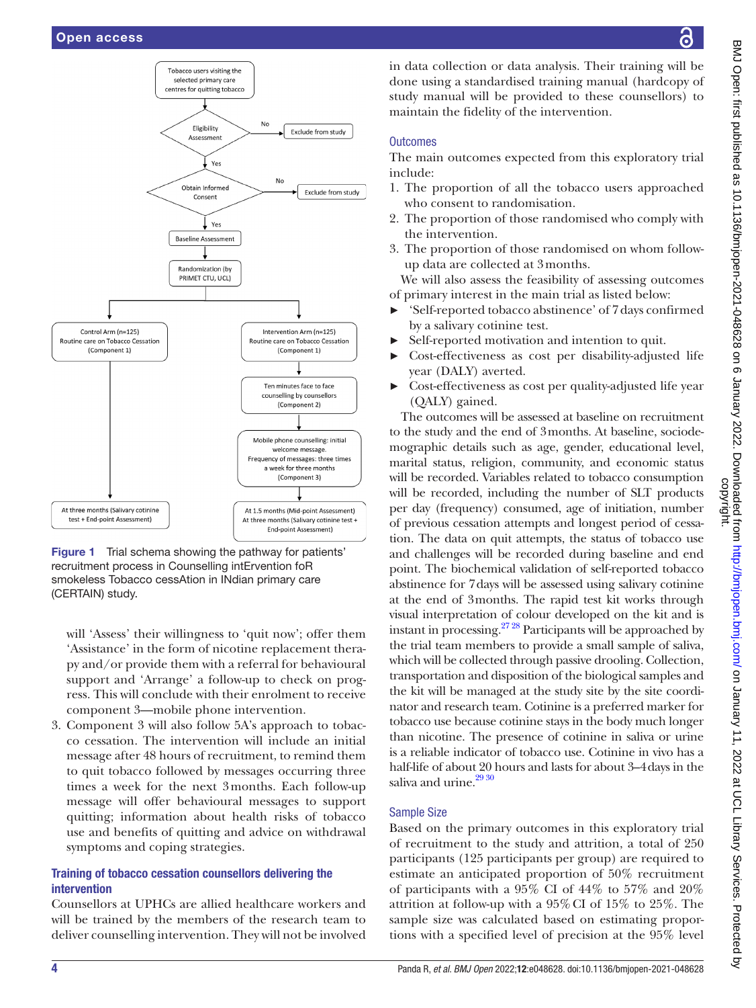

<span id="page-3-0"></span>**Figure 1** Trial schema showing the pathway for patients' recruitment process in Counselling intErvention foR smokeless Tobacco cessAtion in INdian primary care (CERTAIN) study.

will 'Assess' their willingness to 'quit now'; offer them 'Assistance' in the form of nicotine replacement therapy and/or provide them with a referral for behavioural support and 'Arrange' a follow-up to check on progress. This will conclude with their enrolment to receive component 3—mobile phone intervention.

3. Component 3 will also follow 5A's approach to tobacco cessation. The intervention will include an initial message after 48 hours of recruitment, to remind them to quit tobacco followed by messages occurring three times a week for the next 3months. Each follow-up message will offer behavioural messages to support quitting; information about health risks of tobacco use and benefits of quitting and advice on withdrawal symptoms and coping strategies.

#### Training of tobacco cessation counsellors delivering the intervention

Counsellors at UPHCs are allied healthcare workers and will be trained by the members of the research team to deliver counselling intervention. They will not be involved in data collection or data analysis. Their training will be done using a standardised training manual (hardcopy of study manual will be provided to these counsellors) to maintain the fidelity of the intervention.

#### **Outcomes**

The main outcomes expected from this exploratory trial include:

- 1. The proportion of all the tobacco users approached who consent to randomisation.
- 2. The proportion of those randomised who comply with the intervention.
- 3. The proportion of those randomised on whom followup data are collected at 3months.

We will also assess the feasibility of assessing outcomes of primary interest in the main trial as listed below:

- ► 'Self-reported tobacco abstinence' of 7days confirmed by a salivary cotinine test.
- ► Self-reported motivation and intention to quit.
- ► Cost-effectiveness as cost per disability-adjusted life year (DALY) averted.
- ► Cost-effectiveness as cost per quality-adjusted life year (QALY) gained.

The outcomes will be assessed at baseline on recruitment to the study and the end of 3months. At baseline, sociodemographic details such as age, gender, educational level, marital status, religion, community, and economic status will be recorded. Variables related to tobacco consumption will be recorded, including the number of SLT products per day (frequency) consumed, age of initiation, number of previous cessation attempts and longest period of cessation. The data on quit attempts, the status of tobacco use and challenges will be recorded during baseline and end point. The biochemical validation of self-reported tobacco abstinence for 7days will be assessed using salivary cotinine at the end of 3months. The rapid test kit works through visual interpretation of colour developed on the kit and is instant in processing.<sup>27 28</sup> Participants will be approached by the trial team members to provide a small sample of saliva, which will be collected through passive drooling. Collection, transportation and disposition of the biological samples and the kit will be managed at the study site by the site coordinator and research team. Cotinine is a preferred marker for tobacco use because cotinine stays in the body much longer than nicotine. The presence of cotinine in saliva or urine is a reliable indicator of tobacco use. Cotinine in vivo has a half-life of about 20 hours and lasts for about 3–4days in the saliva and urine.<sup>[29 30](#page-6-22)</sup>

#### Sample Size

Based on the primary outcomes in this exploratory trial of recruitment to the study and attrition, a total of 250 participants (125 participants per group) are required to estimate an anticipated proportion of 50% recruitment of participants with a 95% CI of 44% to 57% and 20% attrition at follow-up with a 95%CI of 15% to 25%. The sample size was calculated based on estimating proportions with a specified level of precision at the 95% level

ဥ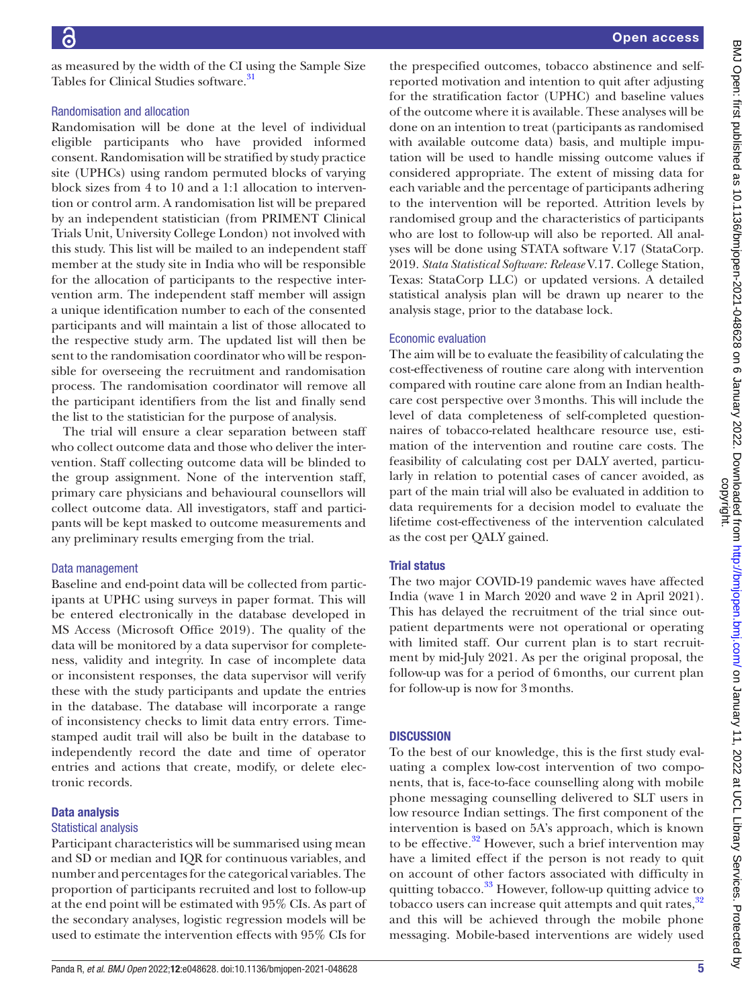as measured by the width of the CI using the Sample Size Tables for Clinical Studies software.<sup>31</sup>

#### Randomisation and allocation

Randomisation will be done at the level of individual eligible participants who have provided informed consent. Randomisation will be stratified by study practice site (UPHCs) using random permuted blocks of varying block sizes from 4 to 10 and a 1:1 allocation to intervention or control arm. A randomisation list will be prepared by an independent statistician (from PRIMENT Clinical Trials Unit, University College London) not involved with this study. This list will be mailed to an independent staff member at the study site in India who will be responsible for the allocation of participants to the respective intervention arm. The independent staff member will assign a unique identification number to each of the consented participants and will maintain a list of those allocated to the respective study arm. The updated list will then be sent to the randomisation coordinator who will be responsible for overseeing the recruitment and randomisation process. The randomisation coordinator will remove all the participant identifiers from the list and finally send the list to the statistician for the purpose of analysis.

The trial will ensure a clear separation between staff who collect outcome data and those who deliver the intervention. Staff collecting outcome data will be blinded to the group assignment. None of the intervention staff, primary care physicians and behavioural counsellors will collect outcome data. All investigators, staff and participants will be kept masked to outcome measurements and any preliminary results emerging from the trial.

#### Data management

Baseline and end-point data will be collected from participants at UPHC using surveys in paper format. This will be entered electronically in the database developed in MS Access (Microsoft Office 2019). The quality of the data will be monitored by a data supervisor for completeness, validity and integrity. In case of incomplete data or inconsistent responses, the data supervisor will verify these with the study participants and update the entries in the database. The database will incorporate a range of inconsistency checks to limit data entry errors. Timestamped audit trail will also be built in the database to independently record the date and time of operator entries and actions that create, modify, or delete electronic records.

#### Data analysis

#### Statistical analysis

Participant characteristics will be summarised using mean and SD or median and IQR for continuous variables, and number and percentages for the categorical variables. The proportion of participants recruited and lost to follow-up at the end point will be estimated with 95% CIs. As part of the secondary analyses, logistic regression models will be used to estimate the intervention effects with 95% CIs for

the prespecified outcomes, tobacco abstinence and selfreported motivation and intention to quit after adjusting for the stratification factor (UPHC) and baseline values of the outcome where it is available. These analyses will be done on an intention to treat (participants as randomised with available outcome data) basis, and multiple imputation will be used to handle missing outcome values if considered appropriate. The extent of missing data for each variable and the percentage of participants adhering to the intervention will be reported. Attrition levels by randomised group and the characteristics of participants who are lost to follow-up will also be reported. All analyses will be done using STATA software V.17 (StataCorp. 2019. *Stata Statistical Software: Release* V.17. College Station, Texas: StataCorp LLC) or updated versions. A detailed statistical analysis plan will be drawn up nearer to the analysis stage, prior to the database lock.

#### Economic evaluation

The aim will be to evaluate the feasibility of calculating the cost-effectiveness of routine care along with intervention compared with routine care alone from an Indian healthcare cost perspective over 3months. This will include the level of data completeness of self-completed questionnaires of tobacco-related healthcare resource use, estimation of the intervention and routine care costs. The feasibility of calculating cost per DALY averted, particularly in relation to potential cases of cancer avoided, as part of the main trial will also be evaluated in addition to data requirements for a decision model to evaluate the lifetime cost-effectiveness of the intervention calculated as the cost per QALY gained.

#### Trial status

The two major COVID-19 pandemic waves have affected India (wave 1 in March 2020 and wave 2 in April 2021). This has delayed the recruitment of the trial since outpatient departments were not operational or operating with limited staff. Our current plan is to start recruitment by mid-July 2021. As per the original proposal, the follow-up was for a period of 6months, our current plan for follow-up is now for 3months.

#### **DISCUSSION**

To the best of our knowledge, this is the first study evaluating a complex low-cost intervention of two components, that is, face-to-face counselling along with mobile phone messaging counselling delivered to SLT users in low resource Indian settings. The first component of the intervention is based on 5A's approach, which is known to be effective. $32$  However, such a brief intervention may have a limited effect if the person is not ready to quit on account of other factors associated with difficulty in quitting tobacco. $33$  However, follow-up quitting advice to tobacco users can increase quit attempts and quit rates,<sup>[32](#page-6-24)</sup> and this will be achieved through the mobile phone messaging. Mobile-based interventions are widely used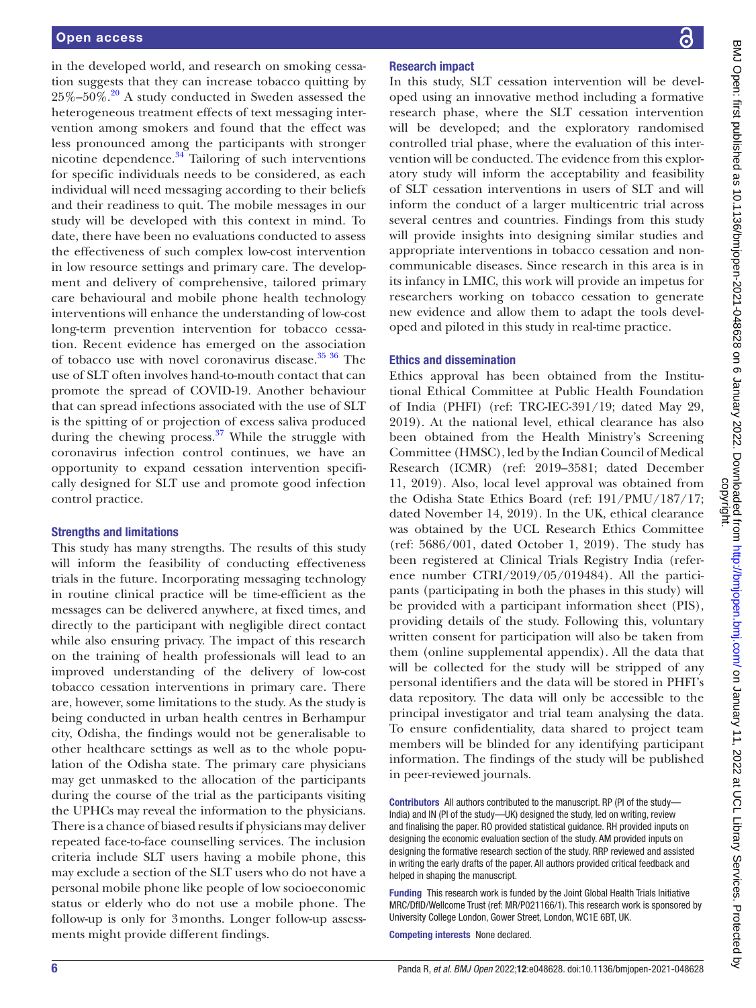in the developed world, and research on smoking cessation suggests that they can increase tobacco quitting by  $25\% - 50\%$ .<sup>[20](#page-6-26)</sup> A study conducted in Sweden assessed the heterogeneous treatment effects of text messaging intervention among smokers and found that the effect was less pronounced among the participants with stronger nicotine dependence. $34$  Tailoring of such interventions for specific individuals needs to be considered, as each individual will need messaging according to their beliefs and their readiness to quit. The mobile messages in our study will be developed with this context in mind. To date, there have been no evaluations conducted to assess the effectiveness of such complex low-cost intervention in low resource settings and primary care. The development and delivery of comprehensive, tailored primary care behavioural and mobile phone health technology interventions will enhance the understanding of low-cost long-term prevention intervention for tobacco cessation. Recent evidence has emerged on the association of tobacco use with novel coronavirus disease. $35\,36$  The use of SLT often involves hand-to-mouth contact that can promote the spread of COVID-19. Another behaviour that can spread infections associated with the use of SLT is the spitting of or projection of excess saliva produced during the chewing process. $37$  While the struggle with coronavirus infection control continues, we have an opportunity to expand cessation intervention specifically designed for SLT use and promote good infection control practice.

#### Strengths and limitations

This study has many strengths. The results of this study will inform the feasibility of conducting effectiveness trials in the future. Incorporating messaging technology in routine clinical practice will be time-efficient as the messages can be delivered anywhere, at fixed times, and directly to the participant with negligible direct contact while also ensuring privacy. The impact of this research on the training of health professionals will lead to an improved understanding of the delivery of low-cost tobacco cessation interventions in primary care. There are, however, some limitations to the study. As the study is being conducted in urban health centres in Berhampur city, Odisha, the findings would not be generalisable to other healthcare settings as well as to the whole population of the Odisha state. The primary care physicians may get unmasked to the allocation of the participants during the course of the trial as the participants visiting the UPHCs may reveal the information to the physicians. There is a chance of biased results if physicians may deliver repeated face-to-face counselling services. The inclusion criteria include SLT users having a mobile phone, this may exclude a section of the SLT users who do not have a personal mobile phone like people of low socioeconomic status or elderly who do not use a mobile phone. The follow-up is only for 3months. Longer follow-up assessments might provide different findings.

#### Research impact

In this study, SLT cessation intervention will be developed using an innovative method including a formative research phase, where the SLT cessation intervention will be developed; and the exploratory randomised controlled trial phase, where the evaluation of this intervention will be conducted. The evidence from this exploratory study will inform the acceptability and feasibility of SLT cessation interventions in users of SLT and will inform the conduct of a larger multicentric trial across several centres and countries. Findings from this study will provide insights into designing similar studies and appropriate interventions in tobacco cessation and noncommunicable diseases. Since research in this area is in its infancy in LMIC, this work will provide an impetus for researchers working on tobacco cessation to generate new evidence and allow them to adapt the tools developed and piloted in this study in real-time practice.

#### Ethics and dissemination

Ethics approval has been obtained from the Institutional Ethical Committee at Public Health Foundation of India (PHFI) (ref: TRC-IEC-391/19; dated May 29, 2019). At the national level, ethical clearance has also been obtained from the Health Ministry's Screening Committee (HMSC), led by the Indian Council of Medical Research (ICMR) (ref: 2019–3581; dated December 11, 2019). Also, local level approval was obtained from the Odisha State Ethics Board (ref: 191/PMU/187/17; dated November 14, 2019). In the UK, ethical clearance was obtained by the UCL Research Ethics Committee (ref: 5686/001, dated October 1, 2019). The study has been registered at Clinical Trials Registry India (reference number CTRI/2019/05/019484). All the participants (participating in both the phases in this study) will be provided with a participant information sheet (PIS), providing details of the study. Following this, voluntary written consent for participation will also be taken from them [\(online supplemental appendix](https://dx.doi.org/10.1136/bmjopen-2021-048628)). All the data that will be collected for the study will be stripped of any personal identifiers and the data will be stored in PHFI's data repository. The data will only be accessible to the principal investigator and trial team analysing the data. To ensure confidentiality, data shared to project team members will be blinded for any identifying participant information. The findings of the study will be published in peer-reviewed journals.

Contributors All authors contributed to the manuscript. RP (PI of the study— India) and IN (PI of the study—UK) designed the study, led on writing, review and finalising the paper. RO provided statistical guidance. RH provided inputs on designing the economic evaluation section of the study. AM provided inputs on designing the formative research section of the study. RRP reviewed and assisted in writing the early drafts of the paper. All authors provided critical feedback and helped in shaping the manuscript.

Funding This research work is funded by the Joint Global Health Trials Initiative MRC/DfID/Wellcome Trust (ref: MR/P021166/1). This research work is sponsored by University College London, Gower Street, London, WC1E 6BT, UK.

Competing interests None declared.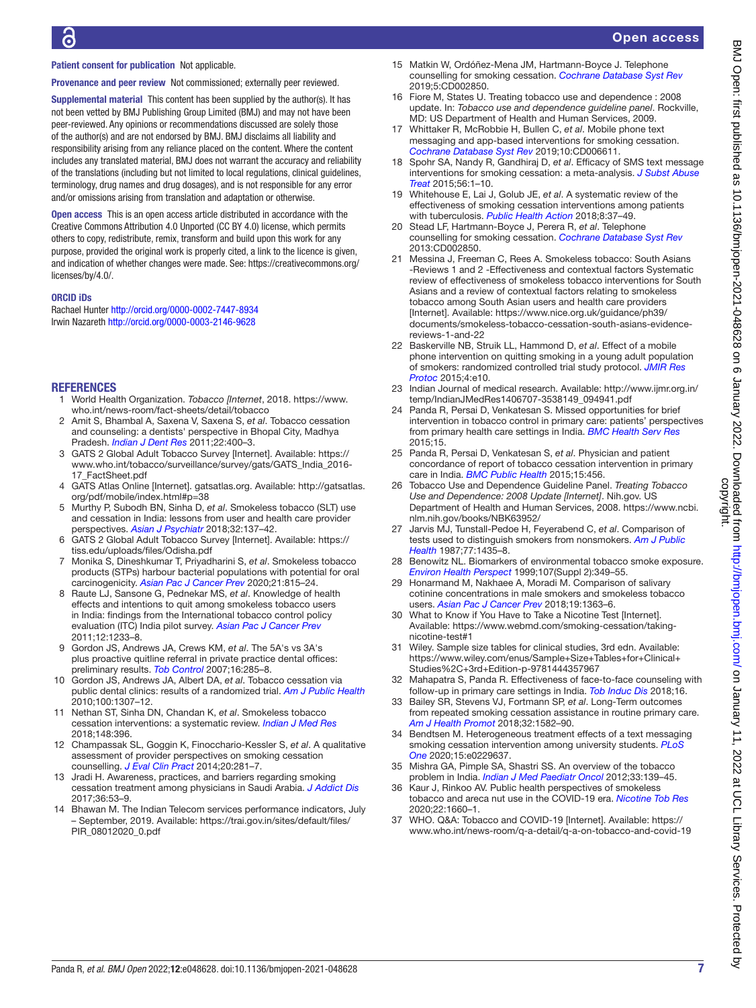# Patient consent for publication Not applicable.

Provenance and peer review Not commissioned; externally peer reviewed.

Supplemental material This content has been supplied by the author(s). It has not been vetted by BMJ Publishing Group Limited (BMJ) and may not have been peer-reviewed. Any opinions or recommendations discussed are solely those of the author(s) and are not endorsed by BMJ. BMJ disclaims all liability and responsibility arising from any reliance placed on the content. Where the content includes any translated material, BMJ does not warrant the accuracy and reliability of the translations (including but not limited to local regulations, clinical guidelines, terminology, drug names and drug dosages), and is not responsible for any error and/or omissions arising from translation and adaptation or otherwise.

Open access This is an open access article distributed in accordance with the Creative Commons Attribution 4.0 Unported (CC BY 4.0) license, which permits others to copy, redistribute, remix, transform and build upon this work for any purpose, provided the original work is properly cited, a link to the licence is given, and indication of whether changes were made. See: [https://creativecommons.org/](https://creativecommons.org/licenses/by/4.0/) [licenses/by/4.0/.](https://creativecommons.org/licenses/by/4.0/)

#### ORCID iDs

Rachael Hunter <http://orcid.org/0000-0002-7447-8934> Irwin Nazareth<http://orcid.org/0000-0003-2146-9628>

#### **REFERENCES**

- <span id="page-6-0"></span>1 World Health Organization. *Tobacco [Internet*, 2018. [https://www.](https://www.who.int/news-room/fact-sheets/detail/tobacco) [who.int/news-room/fact-sheets/detail/tobacco](https://www.who.int/news-room/fact-sheets/detail/tobacco)
- <span id="page-6-9"></span>2 Amit S, Bhambal A, Saxena V, Saxena S, *et al*. Tobacco cessation and counseling: a dentists' perspective in Bhopal City, Madhya Pradesh. *[Indian J Dent Res](http://dx.doi.org/10.4103/0970-9290.87061)* 2011;22:400–3.
- <span id="page-6-1"></span>3 GATS 2 Global Adult Tobacco Survey [Internet]. Available: [https://](https://www.who.int/tobacco/surveillance/survey/gats/GATS_India_2016-17_FactSheet.pdf) [www.who.int/tobacco/surveillance/survey/gats/GATS\\_India\\_2016-](https://www.who.int/tobacco/surveillance/survey/gats/GATS_India_2016-17_FactSheet.pdf) [17\\_FactSheet.pdf](https://www.who.int/tobacco/surveillance/survey/gats/GATS_India_2016-17_FactSheet.pdf)
- <span id="page-6-2"></span>4 GATS Atlas Online [Internet]. gatsatlas.org. Available: [http://gatsatlas.](http://gatsatlas.org/pdf/mobile/index.html#p=38) [org/pdf/mobile/index.html#p=38](http://gatsatlas.org/pdf/mobile/index.html#p=38)
- <span id="page-6-3"></span>5 Murthy P, Subodh BN, Sinha D, *et al*. Smokeless tobacco (SLT) use and cessation in India: lessons from user and health care provider perspectives. *[Asian J Psychiatr](http://dx.doi.org/10.1016/j.ajp.2017.11.009)* 2018;32:137–42.
- <span id="page-6-4"></span>6 GATS 2 Global Adult Tobacco Survey [Internet]. Available: [https://](https://tiss.edu/uploads/files/Odisha.pdf) [tiss.edu/uploads/files/Odisha.pdf](https://tiss.edu/uploads/files/Odisha.pdf)
- <span id="page-6-5"></span>7 Monika S, Dineshkumar T, Priyadharini S, *et al*. Smokeless tobacco products (STPs) harbour bacterial populations with potential for oral carcinogenicity. *[Asian Pac J Cancer Prev](http://dx.doi.org/10.31557/APJCP.2020.21.3.815)* 2020;21:815–24.
- <span id="page-6-6"></span>8 Raute LJ, Sansone G, Pednekar MS, *et al*. Knowledge of health effects and intentions to quit among smokeless tobacco users in India: findings from the International tobacco control policy evaluation (ITC) India pilot survey. *[Asian Pac J Cancer Prev](http://www.ncbi.nlm.nih.gov/pubmed/21875273)* 2011;12:1233–8.
- <span id="page-6-7"></span>9 Gordon JS, Andrews JA, Crews KM, *et al*. The 5A's vs 3A's plus proactive quitline referral in private practice dental offices: preliminary results. *[Tob Control](http://dx.doi.org/10.1136/tc.2007.020271)* 2007;16:285–8.
- 10 Gordon JS, Andrews JA, Albert DA, *et al*. Tobacco cessation via public dental clinics: results of a randomized trial. *[Am J Public Health](http://dx.doi.org/10.2105/AJPH.2009.181214)* 2010;100:1307–12.
- <span id="page-6-8"></span>11 Nethan ST, Sinha DN, Chandan K, *et al*. Smokeless tobacco cessation interventions: a systematic review. *[Indian J Med Res](http://dx.doi.org/10.4103/ijmr.IJMR_1983_17)* 2018;148:396.
- <span id="page-6-10"></span>12 Champassak SL, Goggin K, Finocchario-Kessler S, *et al*. A qualitative assessment of provider perspectives on smoking cessation counselling. *[J Eval Clin Pract](http://dx.doi.org/10.1111/jep.12124)* 2014;20:281–7.
- 13 Jradi H. Awareness, practices, and barriers regarding smoking cessation treatment among physicians in Saudi Arabia. *[J Addict Dis](http://dx.doi.org/10.1080/10550887.2015.1116355)* 2017;36:53–9.
- <span id="page-6-11"></span>14 Bhawan M. The Indian Telecom services performance indicators, July – September, 2019. Available: [https://trai.gov.in/sites/default/files/](https://trai.gov.in/sites/default/files/PIR_08012020_0.pdf) [PIR\\_08012020\\_0.pdf](https://trai.gov.in/sites/default/files/PIR_08012020_0.pdf)
- <span id="page-6-12"></span>15 Matkin W, Ordóñez-Mena JM, Hartmann-Boyce J. Telephone counselling for smoking cessation. *[Cochrane Database Syst Rev](http://dx.doi.org/10.1002/14651858.CD002850.pub4)* 2019;5:CD002850.
- <span id="page-6-13"></span>16 Fiore M, States U. Treating tobacco use and dependence : 2008 update. In: *Tobacco use and dependence guideline panel*. Rockville, MD: US Department of Health and Human Services, 2009.
- <span id="page-6-14"></span>17 Whittaker R, McRobbie H, Bullen C, *et al*. Mobile phone text messaging and app-based interventions for smoking cessation. *[Cochrane Database Syst Rev](http://dx.doi.org/10.1002/14651858.CD006611.pub5)* 2019;10:CD006611.
- <span id="page-6-15"></span>18 Spohr SA, Nandy R, Gandhiraj D, *et al*. Efficacy of SMS text message interventions for smoking cessation: a meta-analysis. *[J Subst Abuse](http://dx.doi.org/10.1016/j.jsat.2015.01.011)  [Treat](http://dx.doi.org/10.1016/j.jsat.2015.01.011)* 2015;56:1–10.
- <span id="page-6-16"></span>19 Whitehouse E, Lai J, Golub JE, *et al*. A systematic review of the effectiveness of smoking cessation interventions among patients with tuberculosis. *[Public Health Action](http://dx.doi.org/10.5588/pha.18.0006)* 2018;8:37–49.
- <span id="page-6-26"></span>20 Stead LF, Hartmann-Boyce J, Perera R, *et al*. Telephone counselling for smoking cessation. *[Cochrane Database Syst Rev](http://dx.doi.org/10.1002/14651858.CD002850.pub3)* 2013:CD002850.
- 21 Messina J, Freeman C, Rees A. Smokeless tobacco: South Asians -Reviews 1 and 2 -Effectiveness and contextual factors Systematic review of effectiveness of smokeless tobacco interventions for South Asians and a review of contextual factors relating to smokeless tobacco among South Asian users and health care providers [Internet]. Available: [https://www.nice.org.uk/guidance/ph39/](https://www.nice.org.uk/guidance/ph39/documents/smokeless-tobacco-cessation-south-asians-evidence-reviews-1-and-22) [documents/smokeless-tobacco-cessation-south-asians-evidence](https://www.nice.org.uk/guidance/ph39/documents/smokeless-tobacco-cessation-south-asians-evidence-reviews-1-and-22)[reviews-1-and-22](https://www.nice.org.uk/guidance/ph39/documents/smokeless-tobacco-cessation-south-asians-evidence-reviews-1-and-22)
- <span id="page-6-17"></span>22 Baskerville NB, Struik LL, Hammond D, *et al*. Effect of a mobile phone intervention on quitting smoking in a young adult population of smokers: randomized controlled trial study protocol. *[JMIR Res](http://dx.doi.org/10.2196/resprot.3823)  [Protoc](http://dx.doi.org/10.2196/resprot.3823)* 2015;4:e10.
- <span id="page-6-18"></span>23 Indian Journal of medical research. Available: [http://www.ijmr.org.in/](http://www.ijmr.org.in/temp/IndianJMedRes1406707-3538149_094941.pdf) [temp/IndianJMedRes1406707-3538149\\_094941.pdf](http://www.ijmr.org.in/temp/IndianJMedRes1406707-3538149_094941.pdf)
- <span id="page-6-19"></span>24 Panda R, Persai D, Venkatesan S. Missed opportunities for brief intervention in tobacco control in primary care: patients' perspectives from primary health care settings in India. *[BMC Health Serv Res](http://dx.doi.org/10.1186/s12913-015-0714-6)* 2015;15.
- 25 Panda R, Persai D, Venkatesan S, *et al*. Physician and patient concordance of report of tobacco cessation intervention in primary care in India. *[BMC Public Health](http://dx.doi.org/10.1186/s12889-015-1803-5)* 2015;15:456.
- <span id="page-6-20"></span>26 Tobacco Use and Dependence Guideline Panel. *Treating Tobacco Use and Dependence: 2008 Update [Internet]*. Nih.gov. US Department of Health and Human Services, 2008. [https://www.ncbi.](https://www.ncbi.nlm.nih.gov/books/NBK63952/) [nlm.nih.gov/books/NBK63952/](https://www.ncbi.nlm.nih.gov/books/NBK63952/)
- <span id="page-6-21"></span>27 Jarvis MJ, Tunstall-Pedoe H, Feyerabend C, *et al*. Comparison of tests used to distinguish smokers from nonsmokers. *[Am J Public](http://dx.doi.org/10.2105/AJPH.77.11.1435)  [Health](http://dx.doi.org/10.2105/AJPH.77.11.1435)* 1987;77:1435–8.
- 28 Benowitz NL. Biomarkers of environmental tobacco smoke exposure. *[Environ Health Perspect](http://dx.doi.org/10.1289/ehp.99107s2349)* 1999;107(Suppl 2):349–55.
- <span id="page-6-22"></span>29 Honarmand M, Nakhaee A, Moradi M. Comparison of salivary cotinine concentrations in male smokers and smokeless tobacco users. *[Asian Pac J Cancer Prev](http://dx.doi.org/10.22034/APJCP.2018.19.5.1363)* 2018;19:1363–6.
- 30 What to Know if You Have to Take a Nicotine Test [Internet]. Available: [https://www.webmd.com/smoking-cessation/taking](https://www.webmd.com/smoking-cessation/taking-nicotine-test#1)[nicotine-test#1](https://www.webmd.com/smoking-cessation/taking-nicotine-test#1)
- <span id="page-6-23"></span>31 Wiley. Sample size tables for clinical studies, 3rd edn. Available: [https://www.wiley.com/enus/Sample+Size+Tables+for+Clinical+](https://www.wiley.com/enus/Sample+Size+Tables+for+Clinical+Studies%2C+3rd+Edition-p-9781444357967) [Studies%2C+3rd+Edition-p-9781444357967](https://www.wiley.com/enus/Sample+Size+Tables+for+Clinical+Studies%2C+3rd+Edition-p-9781444357967)
- <span id="page-6-24"></span>32 Mahapatra S, Panda R. Effectiveness of face-to-face counseling with follow-up in primary care settings in India. *[Tob Induc Dis](http://dx.doi.org/10.18332/tid/84368)* 2018;16.
- <span id="page-6-25"></span>33 Bailey SR, Stevens VJ, Fortmann SP, *et al*. Long-Term outcomes from repeated smoking cessation assistance in routine primary care. *[Am J Health Promot](http://dx.doi.org/10.1177/0890117118761886)* 2018;32:1582–90.
- <span id="page-6-27"></span>34 Bendtsen M. Heterogeneous treatment effects of a text messaging smoking cessation intervention among university students. *[PLoS](http://dx.doi.org/10.1371/journal.pone.0229637)  [One](http://dx.doi.org/10.1371/journal.pone.0229637)* 2020;15:e0229637.
- <span id="page-6-28"></span>35 Mishra GA, Pimple SA, Shastri SS. An overview of the tobacco problem in India. *[Indian J Med Paediatr Oncol](http://dx.doi.org/10.4103/0971-5851.103139)* 2012;33:139–45.
- 36 Kaur J, Rinkoo AV. Public health perspectives of smokeless tobacco and areca nut use in the COVID-19 era. *[Nicotine Tob Res](http://dx.doi.org/10.1093/ntr/ntaa081)* 2020;22:1660–1.
- <span id="page-6-29"></span>37 WHO. Q&A: Tobacco and COVID-19 [Internet]. Available: [https://](https://www.who.int/news-room/q-a-detail/q-a-on-tobacco-and-covid-19) [www.who.int/news-room/q-a-detail/q-a-on-tobacco-and-covid-19](https://www.who.int/news-room/q-a-detail/q-a-on-tobacco-and-covid-19)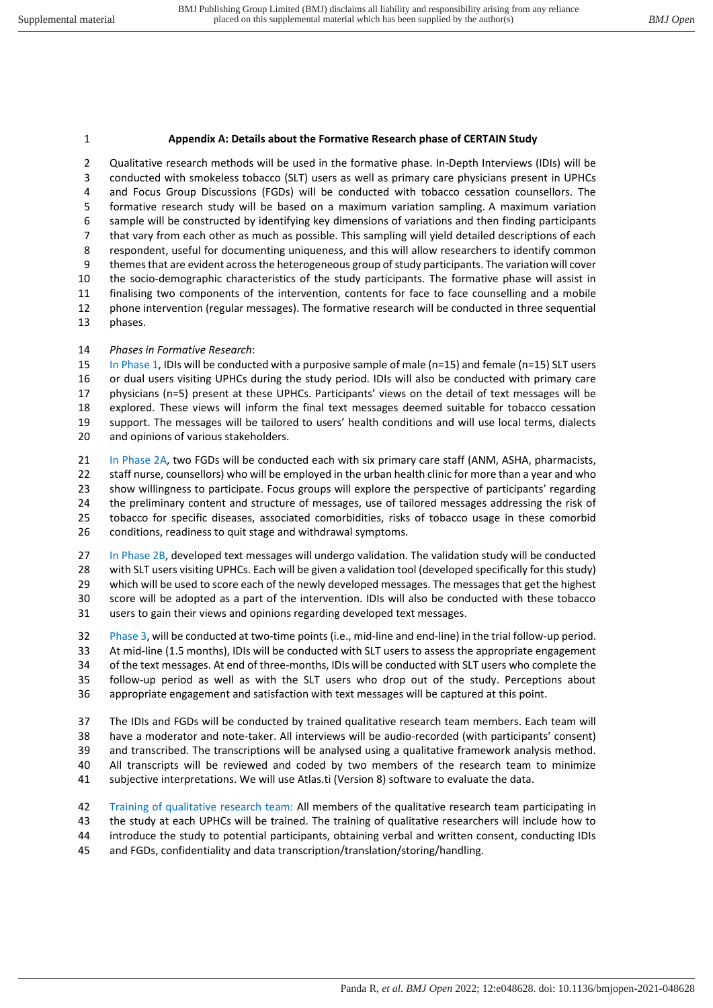## **Appendix A: Details about the Formative Research phase of CERTAIN Study**

2 Qualitative research methods will be used in the formative phase. In-Depth Interviews (IDIs) will be 3 conducted with smokeless tobacco (SLT) users as well as primary care physicians present in UPHCs 4 and Focus Group Discussions (FGDs) will be conducted with tobacco cessation counsellors. The 5 formative research study will be based on a maximum variation sampling. A maximum variation 6 sample will be constructed by identifying key dimensions of variations and then finding participants 7 that vary from each other as much as possible. This sampling will yield detailed descriptions of each 8 respondent, useful for documenting uniqueness, and this will allow researchers to identify common 9 themes that are evident across the heterogeneous group of study participants. The variation will cover the socio-demographic characteristics of the study participants. The formative phase will assist in finalising two components of the intervention, contents for face to face counselling and a mobile phone intervention (regular messages). The formative research will be conducted in three sequential phases.

*Phases in Formative Research*:

15 In Phase 1, IDIs will be conducted with a purposive sample of male (n=15) and female (n=15) SLT users or dual users visiting UPHCs during the study period. IDIs will also be conducted with primary care physicians (n=5) present at these UPHCs. Participants' views on the detail of text messages will be explored. These views will inform the final text messages deemed suitable for tobacco cessation support. The messages will be tailored to users' health conditions and will use local terms, dialects and opinions of various stakeholders.

21 In Phase 2A, two FGDs will be conducted each with six primary care staff (ANM, ASHA, pharmacists, staff nurse, counsellors) who will be employed in the urban health clinic for more than a year and who show willingness to participate. Focus groups will explore the perspective of participants' regarding the preliminary content and structure of messages, use of tailored messages addressing the risk of tobacco for specific diseases, associated comorbidities, risks of tobacco usage in these comorbid conditions, readiness to quit stage and withdrawal symptoms.

27 In Phase 2B, developed text messages will undergo validation. The validation study will be conducted with SLT users visiting UPHCs. Each will be given a validation tool (developed specifically for this study) 29 which will be used to score each of the newly developed messages. The messages that get the highest score will be adopted as a part of the intervention. IDIs will also be conducted with these tobacco users to gain their views and opinions regarding developed text messages.

 Phase 3, will be conducted at two-time points (i.e., mid-line and end-line) in the trial follow-up period. At mid-line (1.5 months), IDIs will be conducted with SLT users to assess the appropriate engagement of the text messages. At end of three-months, IDIs will be conducted with SLT users who complete the follow-up period as well as with the SLT users who drop out of the study. Perceptions about appropriate engagement and satisfaction with text messages will be captured at this point.

 The IDIs and FGDs will be conducted by trained qualitative research team members. Each team will have a moderator and note-taker. All interviews will be audio-recorded (with participants' consent) and transcribed. The transcriptions will be analysed using a qualitative framework analysis method. 40 All transcripts will be reviewed and coded by two members of the research team to minimize subjective interpretations. We will use Atlas.ti (Version 8) software to evaluate the data.

 Training of qualitative research team: All members of the qualitative research team participating in the study at each UPHCs will be trained. The training of qualitative researchers will include how to introduce the study to potential participants, obtaining verbal and written consent, conducting IDIs and FGDs, confidentiality and data transcription/translation/storing/handling.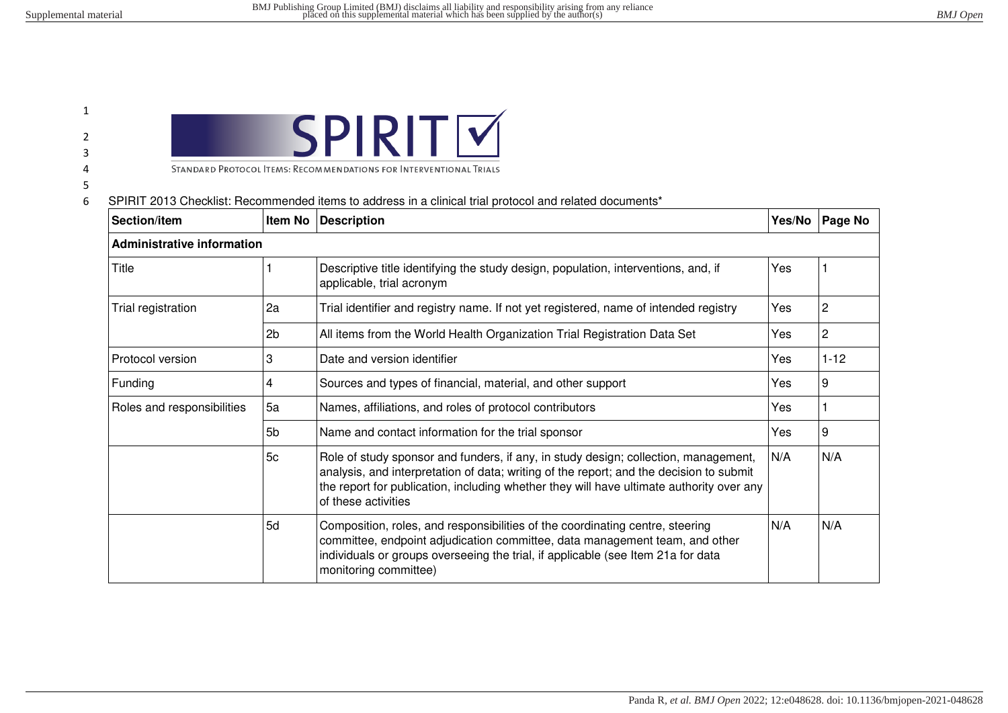## 1 2

3

- 4
- 

5

| STANDARD PROTOCOL ITEMS: RECOMMENDATIONS FOR INTERVENTIONAL TRIALS |  |
|--------------------------------------------------------------------|--|

#### 6 SPIRIT 2013 Checklist: Recommended items to address in a clinical trial protocol and related documents\*

| Section/item                                       | Item No | <b>Description</b>                                                                                                                                                                                                                                                                                | Yes/No | <b>Page No</b> |
|----------------------------------------------------|---------|---------------------------------------------------------------------------------------------------------------------------------------------------------------------------------------------------------------------------------------------------------------------------------------------------|--------|----------------|
| <b>Administrative information</b>                  |         |                                                                                                                                                                                                                                                                                                   |        |                |
| Title                                              |         | Descriptive title identifying the study design, population, interventions, and, if<br>applicable, trial acronym                                                                                                                                                                                   | Yes    |                |
| Trial registration<br>2a                           |         | Trial identifier and registry name. If not yet registered, name of intended registry                                                                                                                                                                                                              | Yes    | $\overline{2}$ |
|                                                    | 2b      | All items from the World Health Organization Trial Registration Data Set                                                                                                                                                                                                                          | Yes    | $\overline{2}$ |
| Protocol version                                   | 3       | Date and version identifier<br>Yes                                                                                                                                                                                                                                                                |        | $1 - 12$       |
| Funding                                            | 4       | Sources and types of financial, material, and other support                                                                                                                                                                                                                                       | Yes    | $\overline{9}$ |
| 5a<br>Roles and responsibilities<br>5 <sub>b</sub> |         | Names, affiliations, and roles of protocol contributors                                                                                                                                                                                                                                           | Yes    |                |
|                                                    |         | Name and contact information for the trial sponsor                                                                                                                                                                                                                                                | Yes    | $\overline{9}$ |
|                                                    | 5c      | Role of study sponsor and funders, if any, in study design; collection, management,<br>analysis, and interpretation of data; writing of the report; and the decision to submit<br>the report for publication, including whether they will have ultimate authority over any<br>of these activities | N/A    | N/A            |
|                                                    | 5d      | Composition, roles, and responsibilities of the coordinating centre, steering<br>committee, endpoint adjudication committee, data management team, and other<br>individuals or groups overseeing the trial, if applicable (see Item 21a for data<br>monitoring committee)                         | N/A    | N/A            |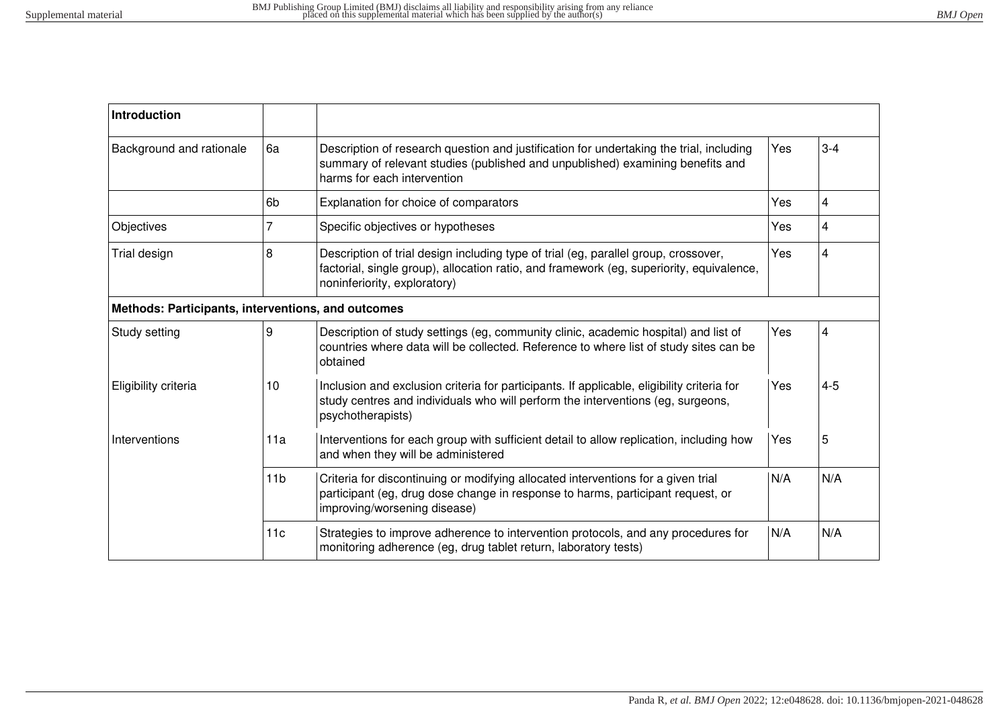| <b>Introduction</b>                                |                                                                                                                                                                                                                |                                                                                                                                                                                                                 |     |         |
|----------------------------------------------------|----------------------------------------------------------------------------------------------------------------------------------------------------------------------------------------------------------------|-----------------------------------------------------------------------------------------------------------------------------------------------------------------------------------------------------------------|-----|---------|
| Background and rationale                           | 6a<br>Description of research question and justification for undertaking the trial, including<br>summary of relevant studies (published and unpublished) examining benefits and<br>harms for each intervention |                                                                                                                                                                                                                 | Yes | $3 - 4$ |
|                                                    | 6 <sub>b</sub>                                                                                                                                                                                                 | Explanation for choice of comparators                                                                                                                                                                           | Yes | 4       |
| Objectives                                         | 7                                                                                                                                                                                                              | Specific objectives or hypotheses                                                                                                                                                                               | Yes | 4       |
| Trial design                                       | 8                                                                                                                                                                                                              | Description of trial design including type of trial (eg, parallel group, crossover,<br>factorial, single group), allocation ratio, and framework (eg, superiority, equivalence,<br>noninferiority, exploratory) |     | 4       |
| Methods: Participants, interventions, and outcomes |                                                                                                                                                                                                                |                                                                                                                                                                                                                 |     |         |
| Study setting                                      | 9                                                                                                                                                                                                              | Description of study settings (eg, community clinic, academic hospital) and list of<br>countries where data will be collected. Reference to where list of study sites can be<br>obtained                        | Yes | 4       |
| Eligibility criteria                               | 10                                                                                                                                                                                                             | Inclusion and exclusion criteria for participants. If applicable, eligibility criteria for<br>Yes<br>study centres and individuals who will perform the interventions (eg, surgeons,<br>psychotherapists)       |     | $4 - 5$ |
| Interventions                                      | 11a                                                                                                                                                                                                            | Interventions for each group with sufficient detail to allow replication, including how<br>and when they will be administered                                                                                   | Yes | 5       |
|                                                    | 11 <sub>b</sub>                                                                                                                                                                                                | Criteria for discontinuing or modifying allocated interventions for a given trial<br>participant (eg, drug dose change in response to harms, participant request, or<br>improving/worsening disease)            | N/A | N/A     |
|                                                    | 11c                                                                                                                                                                                                            | Strategies to improve adherence to intervention protocols, and any procedures for<br>monitoring adherence (eg, drug tablet return, laboratory tests)                                                            | N/A | N/A     |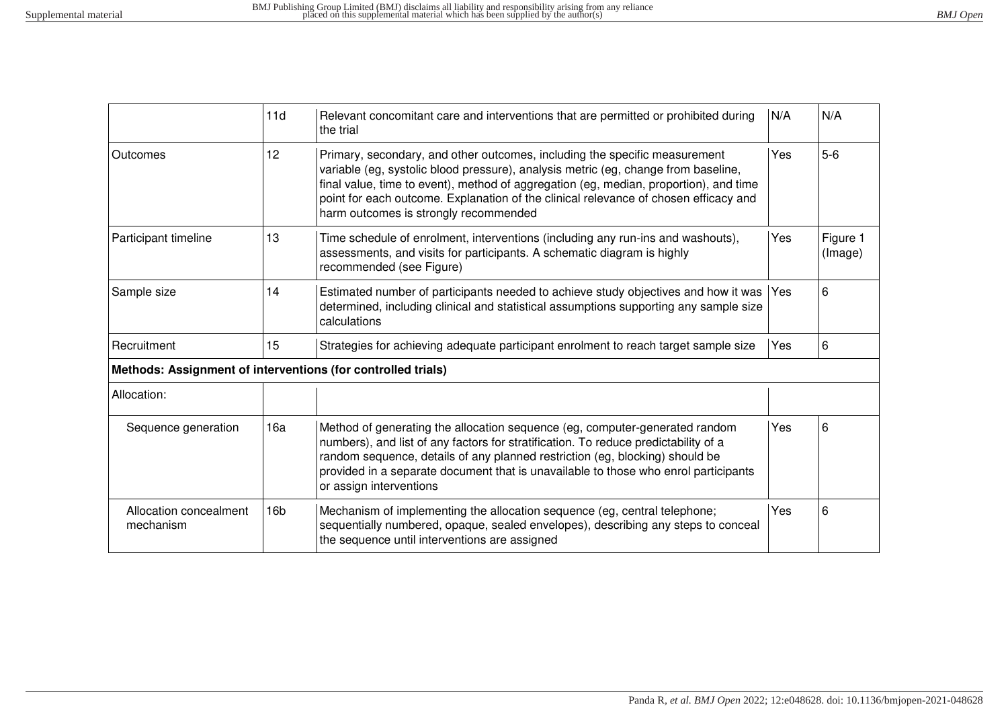|                                     | 11d                                                                                                                                                                                                                                                                                                                                                                         | Relevant concomitant care and interventions that are permitted or prohibited during<br>N/A<br>the trial                                                                                                                                                                                                                                                                                           |     | N/A                 |
|-------------------------------------|-----------------------------------------------------------------------------------------------------------------------------------------------------------------------------------------------------------------------------------------------------------------------------------------------------------------------------------------------------------------------------|---------------------------------------------------------------------------------------------------------------------------------------------------------------------------------------------------------------------------------------------------------------------------------------------------------------------------------------------------------------------------------------------------|-----|---------------------|
| Outcomes                            | 12                                                                                                                                                                                                                                                                                                                                                                          | Yes<br>Primary, secondary, and other outcomes, including the specific measurement<br>variable (eg, systolic blood pressure), analysis metric (eg, change from baseline,<br>final value, time to event), method of aggregation (eg, median, proportion), and time<br>point for each outcome. Explanation of the clinical relevance of chosen efficacy and<br>harm outcomes is strongly recommended |     | $5-6$               |
| Participant timeline                | 13                                                                                                                                                                                                                                                                                                                                                                          | Yes<br>Time schedule of enrolment, interventions (including any run-ins and washouts),<br>assessments, and visits for participants. A schematic diagram is highly<br>recommended (see Figure)                                                                                                                                                                                                     |     | Figure 1<br>(Image) |
| Sample size                         | 14                                                                                                                                                                                                                                                                                                                                                                          | Estimated number of participants needed to achieve study objectives and how it was<br>l Yes<br>determined, including clinical and statistical assumptions supporting any sample size<br>calculations                                                                                                                                                                                              |     | 6                   |
| Recruitment                         | 15                                                                                                                                                                                                                                                                                                                                                                          | Strategies for achieving adequate participant enrolment to reach target sample size<br>Yes                                                                                                                                                                                                                                                                                                        |     | 6                   |
|                                     |                                                                                                                                                                                                                                                                                                                                                                             | Methods: Assignment of interventions (for controlled trials)                                                                                                                                                                                                                                                                                                                                      |     |                     |
| Allocation:                         |                                                                                                                                                                                                                                                                                                                                                                             |                                                                                                                                                                                                                                                                                                                                                                                                   |     |                     |
| Sequence generation                 | 16a<br>Method of generating the allocation sequence (eg, computer-generated random<br>numbers), and list of any factors for stratification. To reduce predictability of a<br>random sequence, details of any planned restriction (eg, blocking) should be<br>provided in a separate document that is unavailable to those who enrol participants<br>or assign interventions |                                                                                                                                                                                                                                                                                                                                                                                                   | Yes | 6                   |
| Allocation concealment<br>mechanism | 16 <sub>b</sub>                                                                                                                                                                                                                                                                                                                                                             | Mechanism of implementing the allocation sequence (eg, central telephone;<br>Yes<br>sequentially numbered, opaque, sealed envelopes), describing any steps to conceal<br>the sequence until interventions are assigned                                                                                                                                                                            |     | 6                   |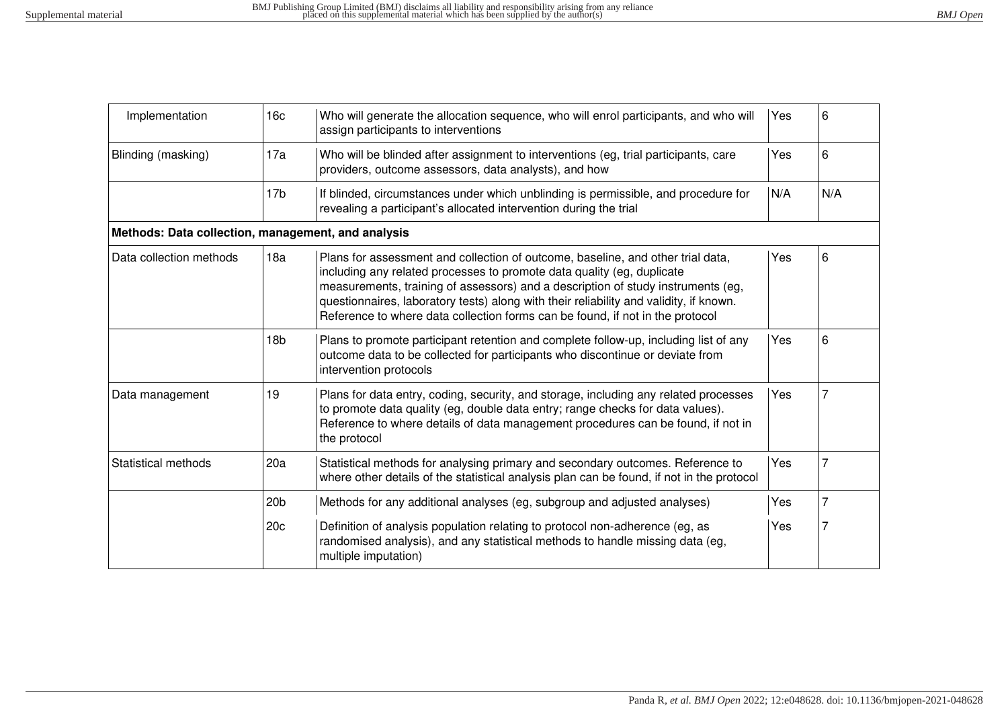| Implementation                                     | 16 <sub>c</sub> | Who will generate the allocation sequence, who will enrol participants, and who will<br>Yes<br>assign participants to interventions                                                                                                                                                                                                                                                                                      |     | 6   |
|----------------------------------------------------|-----------------|--------------------------------------------------------------------------------------------------------------------------------------------------------------------------------------------------------------------------------------------------------------------------------------------------------------------------------------------------------------------------------------------------------------------------|-----|-----|
| Blinding (masking)                                 | 17a             | Who will be blinded after assignment to interventions (eg, trial participants, care<br>Yes<br>providers, outcome assessors, data analysts), and how                                                                                                                                                                                                                                                                      |     | 6   |
|                                                    | 17 <sub>b</sub> | If blinded, circumstances under which unblinding is permissible, and procedure for<br>N/A<br>revealing a participant's allocated intervention during the trial                                                                                                                                                                                                                                                           |     | N/A |
| Methods: Data collection, management, and analysis |                 |                                                                                                                                                                                                                                                                                                                                                                                                                          |     |     |
| Data collection methods                            | 18a             | Plans for assessment and collection of outcome, baseline, and other trial data,<br>including any related processes to promote data quality (eg, duplicate<br>measurements, training of assessors) and a description of study instruments (eg,<br>questionnaires, laboratory tests) along with their reliability and validity, if known.<br>Reference to where data collection forms can be found, if not in the protocol | Yes | 6   |
|                                                    | 18 <sub>b</sub> | Plans to promote participant retention and complete follow-up, including list of any<br>outcome data to be collected for participants who discontinue or deviate from<br>intervention protocols                                                                                                                                                                                                                          | Yes | 6   |
| Data management                                    | 19              | Yes<br>Plans for data entry, coding, security, and storage, including any related processes<br>to promote data quality (eg, double data entry; range checks for data values).<br>Reference to where details of data management procedures can be found, if not in<br>the protocol                                                                                                                                        |     |     |
| <b>Statistical methods</b>                         | 20a             | Statistical methods for analysing primary and secondary outcomes. Reference to<br>where other details of the statistical analysis plan can be found, if not in the protocol                                                                                                                                                                                                                                              | Yes |     |
|                                                    | 20 <sub>b</sub> | Methods for any additional analyses (eg, subgroup and adjusted analyses)                                                                                                                                                                                                                                                                                                                                                 | Yes |     |
|                                                    | 20c             | Definition of analysis population relating to protocol non-adherence (eg, as<br>randomised analysis), and any statistical methods to handle missing data (eg,<br>multiple imputation)                                                                                                                                                                                                                                    | Yes |     |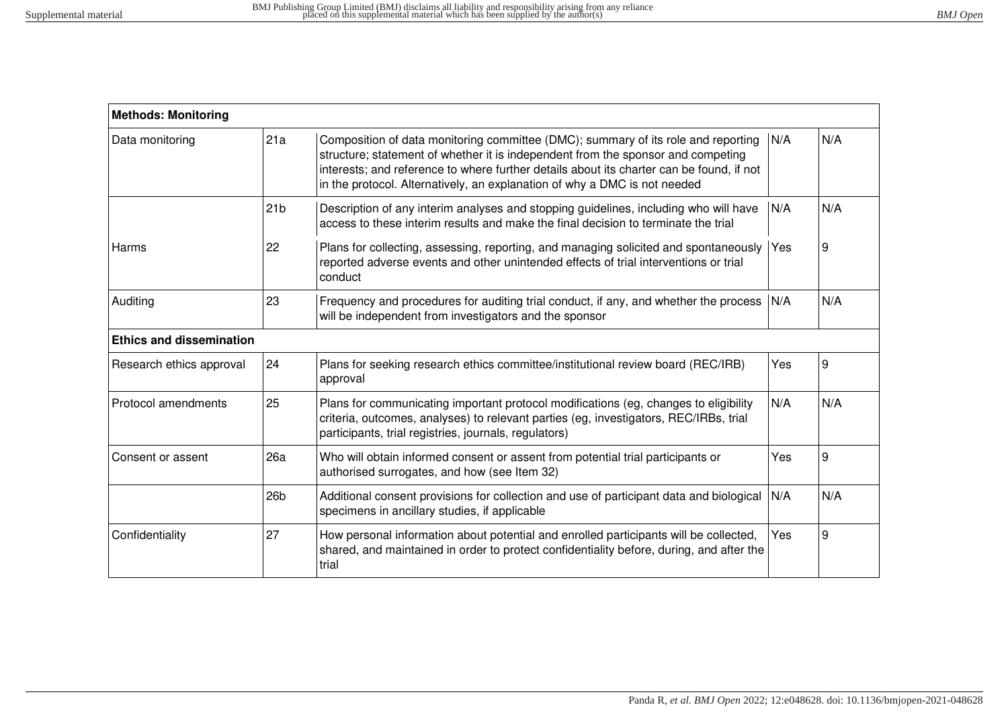| <b>Methods: Monitoring</b>      |                                                                                                                                                                                                                                                                                                                                                       |                                                                                                                                                                                                                                               |            |     |
|---------------------------------|-------------------------------------------------------------------------------------------------------------------------------------------------------------------------------------------------------------------------------------------------------------------------------------------------------------------------------------------------------|-----------------------------------------------------------------------------------------------------------------------------------------------------------------------------------------------------------------------------------------------|------------|-----|
| Data monitoring                 | Composition of data monitoring committee (DMC); summary of its role and reporting<br>21a<br>structure; statement of whether it is independent from the sponsor and competing<br>interests; and reference to where further details about its charter can be found, if not<br>in the protocol. Alternatively, an explanation of why a DMC is not needed |                                                                                                                                                                                                                                               | N/A        | N/A |
|                                 | 21 <sub>b</sub>                                                                                                                                                                                                                                                                                                                                       | Description of any interim analyses and stopping guidelines, including who will have<br>access to these interim results and make the final decision to terminate the trial                                                                    | N/A        | N/A |
| Harms                           | 22                                                                                                                                                                                                                                                                                                                                                    | Plans for collecting, assessing, reporting, and managing solicited and spontaneously<br>reported adverse events and other unintended effects of trial interventions or trial<br>conduct                                                       |            | 9   |
| Auditing                        | 23                                                                                                                                                                                                                                                                                                                                                    | Frequency and procedures for auditing trial conduct, if any, and whether the process N/A<br>will be independent from investigators and the sponsor                                                                                            |            | N/A |
| <b>Ethics and dissemination</b> |                                                                                                                                                                                                                                                                                                                                                       |                                                                                                                                                                                                                                               |            |     |
| Research ethics approval        | 24                                                                                                                                                                                                                                                                                                                                                    | Plans for seeking research ethics committee/institutional review board (REC/IRB)<br>approval                                                                                                                                                  | Yes        | 9   |
| Protocol amendments             | 25                                                                                                                                                                                                                                                                                                                                                    | N/A<br>Plans for communicating important protocol modifications (eg, changes to eligibility<br>criteria, outcomes, analyses) to relevant parties (eg, investigators, REC/IRBs, trial<br>participants, trial registries, journals, regulators) |            | N/A |
| Consent or assent               | 26a                                                                                                                                                                                                                                                                                                                                                   | Who will obtain informed consent or assent from potential trial participants or<br>authorised surrogates, and how (see Item 32)                                                                                                               | Yes        | 9   |
|                                 | 26 <sub>b</sub>                                                                                                                                                                                                                                                                                                                                       | Additional consent provisions for collection and use of participant data and biological<br>specimens in ancillary studies, if applicable                                                                                                      | N/A        | N/A |
| Confidentiality                 | 27                                                                                                                                                                                                                                                                                                                                                    | How personal information about potential and enrolled participants will be collected,<br>shared, and maintained in order to protect confidentiality before, during, and after the<br>trial                                                    | <b>Yes</b> | 9   |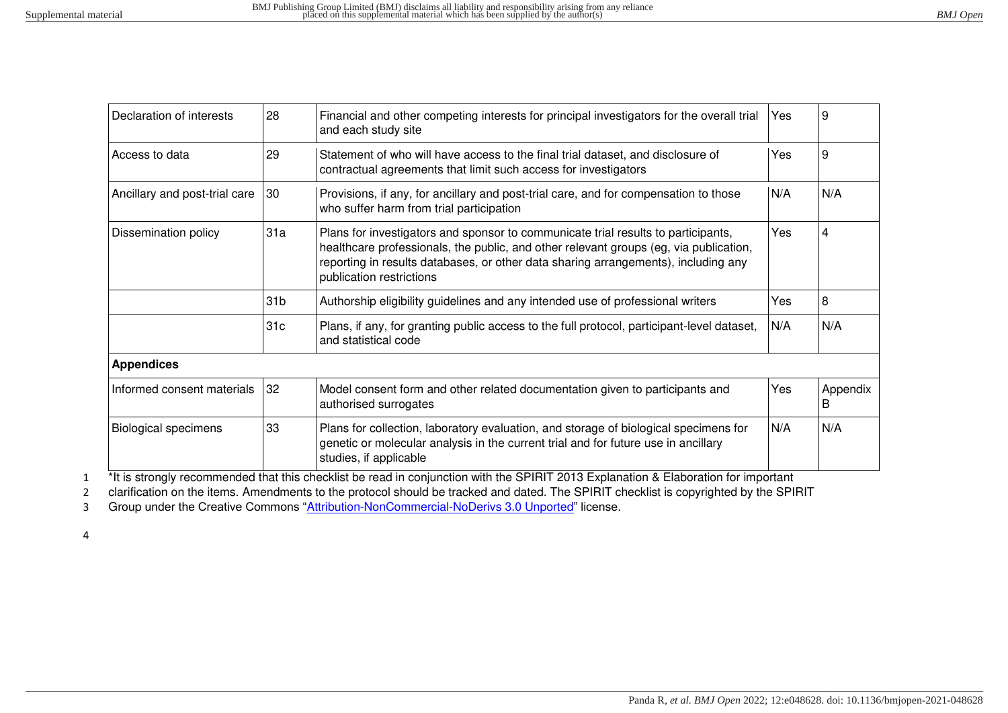| Declaration of interests      | 28              | Financial and other competing interests for principal investigators for the overall trial<br>Yes<br>and each study site                                                                                                                                                                             |     | 9              |
|-------------------------------|-----------------|-----------------------------------------------------------------------------------------------------------------------------------------------------------------------------------------------------------------------------------------------------------------------------------------------------|-----|----------------|
| Access to data                | 29              | Statement of who will have access to the final trial dataset, and disclosure of<br>Yes<br>contractual agreements that limit such access for investigators                                                                                                                                           |     | 9              |
| Ancillary and post-trial care | 30              | Provisions, if any, for ancillary and post-trial care, and for compensation to those<br>N/A<br>who suffer harm from trial participation                                                                                                                                                             |     | N/A            |
| Dissemination policy          | 31a             | Yes<br>Plans for investigators and sponsor to communicate trial results to participants,<br>healthcare professionals, the public, and other relevant groups (eg, via publication,<br>reporting in results databases, or other data sharing arrangements), including any<br>publication restrictions |     | $\overline{4}$ |
|                               | 31 <sub>b</sub> | Authorship eligibility guidelines and any intended use of professional writers                                                                                                                                                                                                                      | Yes | 8              |
|                               | 31 <sub>c</sub> | Plans, if any, for granting public access to the full protocol, participant-level dataset,<br>and statistical code                                                                                                                                                                                  | N/A | N/A            |
| <b>Appendices</b>             |                 |                                                                                                                                                                                                                                                                                                     |     |                |
| Informed consent materials    | 32              | Yes<br>Model consent form and other related documentation given to participants and<br>authorised surrogates                                                                                                                                                                                        |     | Appendix<br>B  |
| <b>Biological specimens</b>   | 33              | Plans for collection, laboratory evaluation, and storage of biological specimens for<br>N/A<br>genetic or molecular analysis in the current trial and for future use in ancillary<br>studies, if applicable                                                                                         |     | N/A            |

<sup>\*</sup>It is strongly recommended that this checklist be read in conjunction with the SPIRIT 2013 Explanation & Elaboration for important

2 clarification on the items. Amendments to the protocol should be tracked and dated. The SPIRIT checklist is copyrighted by the SPIRIT

3 Group under the Creative Commons "[Attribution-NonCommercial-NoDerivs 3.0 Unported](http://www.creativecommons.org/licenses/by-nc-nd/3.0/)" license.

4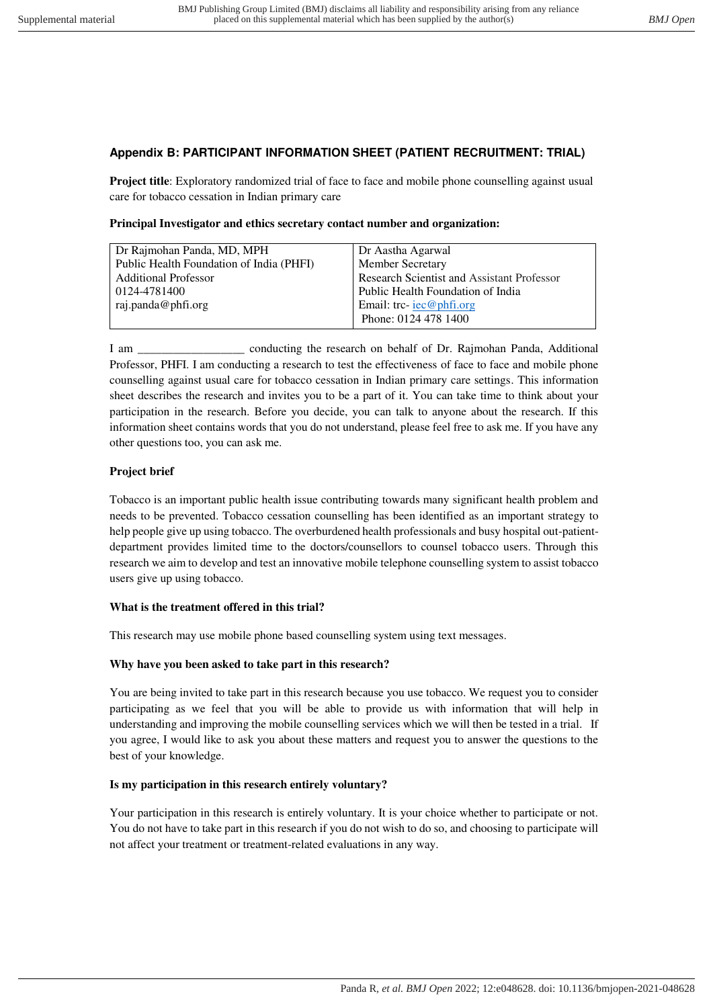## **Appendix B: PARTICIPANT INFORMATION SHEET (PATIENT RECRUITMENT: TRIAL)**

**Project title**: Exploratory randomized trial of face to face and mobile phone counselling against usual care for tobacco cessation in Indian primary care

|  |  | Principal Investigator and ethics secretary contact number and organization: |
|--|--|------------------------------------------------------------------------------|
|--|--|------------------------------------------------------------------------------|

| Dr Rajmohan Panda, MD, MPH               | Dr Aastha Agarwal                                 |
|------------------------------------------|---------------------------------------------------|
| Public Health Foundation of India (PHFI) | <b>Member Secretary</b>                           |
| <b>Additional Professor</b>              | <b>Research Scientist and Assistant Professor</b> |
| 0124-4781400                             | Public Health Foundation of India                 |
| raj.panda@phfi.org                       | Email: trc- $\text{iec}@phfi.org$                 |
|                                          | Phone: 0124 478 1400                              |

I am \_\_\_\_\_\_\_\_\_\_\_\_\_\_\_\_\_\_ conducting the research on behalf of Dr. Rajmohan Panda, Additional Professor, PHFI. I am conducting a research to test the effectiveness of face to face and mobile phone counselling against usual care for tobacco cessation in Indian primary care settings. This information sheet describes the research and invites you to be a part of it. You can take time to think about your participation in the research. Before you decide, you can talk to anyone about the research. If this information sheet contains words that you do not understand, please feel free to ask me. If you have any other questions too, you can ask me.

## **Project brief**

Tobacco is an important public health issue contributing towards many significant health problem and needs to be prevented. Tobacco cessation counselling has been identified as an important strategy to help people give up using tobacco. The overburdened health professionals and busy hospital out-patientdepartment provides limited time to the doctors/counsellors to counsel tobacco users. Through this research we aim to develop and test an innovative mobile telephone counselling system to assist tobacco users give up using tobacco.

## **What is the treatment offered in this trial?**

This research may use mobile phone based counselling system using text messages.

## **Why have you been asked to take part in this research?**

You are being invited to take part in this research because you use tobacco. We request you to consider participating as we feel that you will be able to provide us with information that will help in understanding and improving the mobile counselling services which we will then be tested in a trial. If you agree, I would like to ask you about these matters and request you to answer the questions to the best of your knowledge.

## **Is my participation in this research entirely voluntary?**

Your participation in this research is entirely voluntary. It is your choice whether to participate or not. You do not have to take part in this research if you do not wish to do so, and choosing to participate will not affect your treatment or treatment-related evaluations in any way.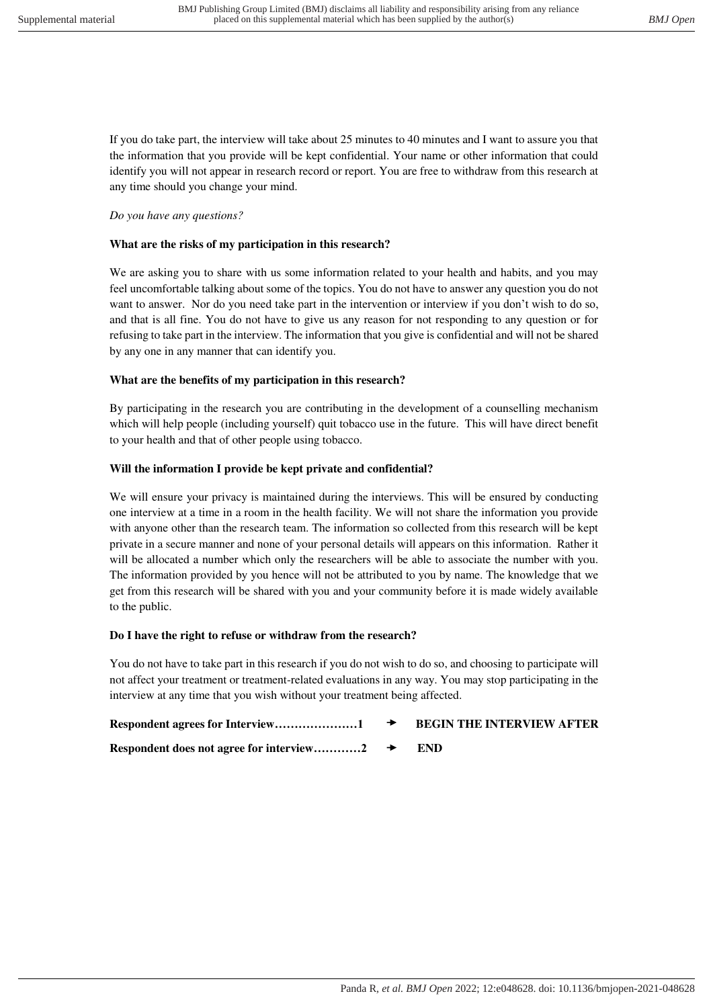If you do take part, the interview will take about 25 minutes to 40 minutes and I want to assure you that the information that you provide will be kept confidential. Your name or other information that could identify you will not appear in research record or report. You are free to withdraw from this research at any time should you change your mind.

#### *Do you have any questions?*

#### **What are the risks of my participation in this research?**

We are asking you to share with us some information related to your health and habits, and you may feel uncomfortable talking about some of the topics. You do not have to answer any question you do not want to answer. Nor do you need take part in the intervention or interview if you don't wish to do so, and that is all fine. You do not have to give us any reason for not responding to any question or for refusing to take part in the interview. The information that you give is confidential and will not be shared by any one in any manner that can identify you.

#### **What are the benefits of my participation in this research?**

By participating in the research you are contributing in the development of a counselling mechanism which will help people (including yourself) quit tobacco use in the future. This will have direct benefit to your health and that of other people using tobacco.

#### **Will the information I provide be kept private and confidential?**

We will ensure your privacy is maintained during the interviews. This will be ensured by conducting one interview at a time in a room in the health facility. We will not share the information you provide with anyone other than the research team. The information so collected from this research will be kept private in a secure manner and none of your personal details will appears on this information. Rather it will be allocated a number which only the researchers will be able to associate the number with you. The information provided by you hence will not be attributed to you by name. The knowledge that we get from this research will be shared with you and your community before it is made widely available to the public.

#### **Do I have the right to refuse or withdraw from the research?**

You do not have to take part in this research if you do not wish to do so, and choosing to participate will not affect your treatment or treatment-related evaluations in any way. You may stop participating in the interview at any time that you wish without your treatment being affected.

| $\rightarrow$ | <b>BEGIN THE INTERVIEW AFTER</b> |
|---------------|----------------------------------|
|               | <b>END</b>                       |